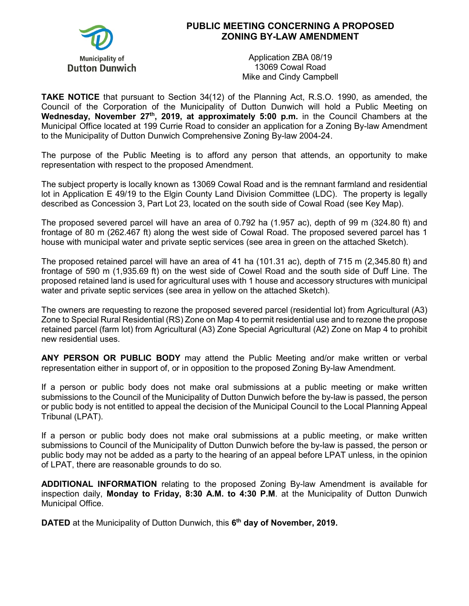

## **PUBLIC MEETING CONCERNING A PROPOSED ZONING BY-LAW AMENDMENT**

Application ZBA 08/19 13069 Cowal Road Mike and Cindy Campbell

**TAKE NOTICE** that pursuant to Section 34(12) of the Planning Act, R.S.O. 1990, as amended, the Council of the Corporation of the Municipality of Dutton Dunwich will hold a Public Meeting on Wednesday, November 27<sup>th</sup>, 2019, at approximately 5:00 p.m. in the Council Chambers at the Municipal Office located at 199 Currie Road to consider an application for a Zoning By-law Amendment to the Municipality of Dutton Dunwich Comprehensive Zoning By-law 2004-24.

The purpose of the Public Meeting is to afford any person that attends, an opportunity to make representation with respect to the proposed Amendment.

The subject property is locally known as 13069 Cowal Road and is the remnant farmland and residential lot in Application E 49/19 to the Elgin County Land Division Committee (LDC). The property is legally described as Concession 3, Part Lot 23, located on the south side of Cowal Road (see Key Map).

The proposed severed parcel will have an area of 0.792 ha (1.957 ac), depth of 99 m (324.80 ft) and frontage of 80 m (262.467 ft) along the west side of Cowal Road. The proposed severed parcel has 1 house with municipal water and private septic services (see area in green on the attached Sketch).

The proposed retained parcel will have an area of 41 ha (101.31 ac), depth of 715 m (2,345.80 ft) and frontage of 590 m (1,935.69 ft) on the west side of Cowel Road and the south side of Duff Line. The proposed retained land is used for agricultural uses with 1 house and accessory structures with municipal water and private septic services (see area in yellow on the attached Sketch).

The owners are requesting to rezone the proposed severed parcel (residential lot) from Agricultural (A3) Zone to Special Rural Residential (RS) Zone on Map 4 to permit residential use and to rezone the propose retained parcel (farm lot) from Agricultural (A3) Zone Special Agricultural (A2) Zone on Map 4 to prohibit new residential uses.

**ANY PERSON OR PUBLIC BODY** may attend the Public Meeting and/or make written or verbal representation either in support of, or in opposition to the proposed Zoning By-law Amendment.

If a person or public body does not make oral submissions at a public meeting or make written submissions to the Council of the Municipality of Dutton Dunwich before the by-law is passed, the person or public body is not entitled to appeal the decision of the Municipal Council to the Local Planning Appeal Tribunal (LPAT).

If a person or public body does not make oral submissions at a public meeting, or make written submissions to Council of the Municipality of Dutton Dunwich before the by-law is passed, the person or public body may not be added as a party to the hearing of an appeal before LPAT unless, in the opinion of LPAT, there are reasonable grounds to do so.

**ADDITIONAL INFORMATION** relating to the proposed Zoning By-law Amendment is available for inspection daily, **Monday to Friday, 8:30 A.M. to 4:30 P.M**. at the Municipality of Dutton Dunwich Municipal Office.

**DATED** at the Municipality of Dutton Dunwich, this **6th day of November, 2019.**